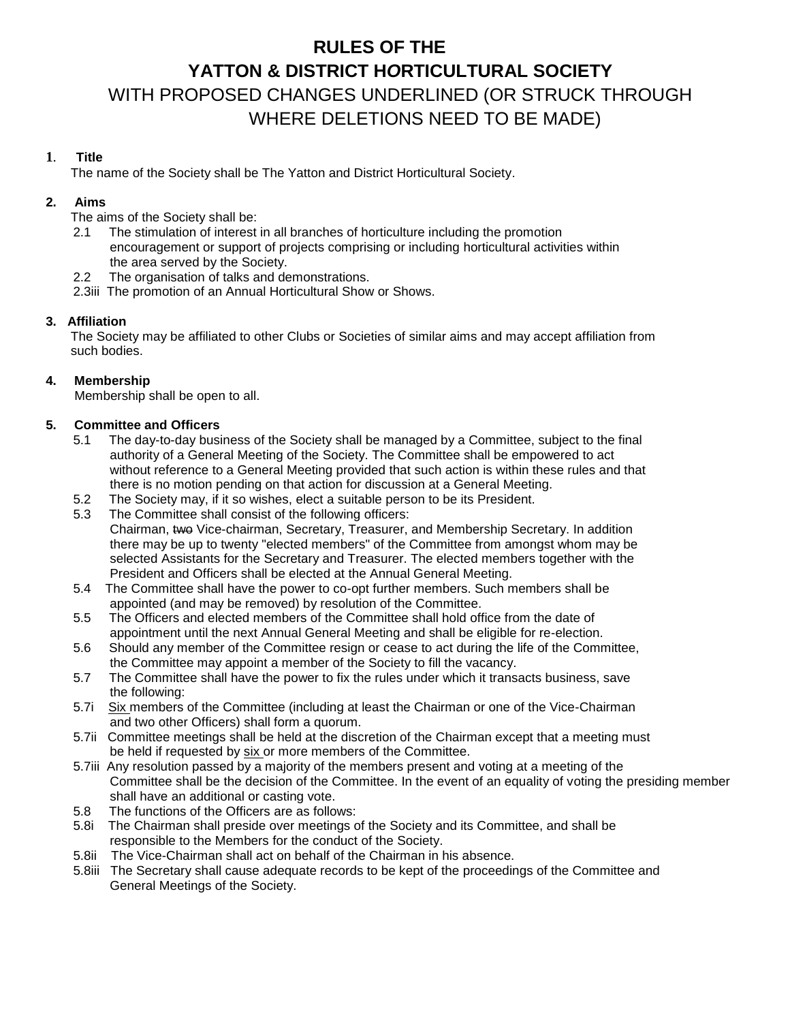# **RULES OF THE YATTON & DISTRICT H***O***RTICULTURAL SOCIETY** WITH PROPOSED CHANGES UNDERLINED (OR STRUCK THROUGH WHERE DELETIONS NEED TO BE MADE)

# **1**. **Title**

The name of the Society shall be The Yatton and District Horticultural Society.

# **2. Aims**

The aims of the Society shall be:

- 2.1 The stimulation of interest in all branches of horticulture including the promotion encouragement or support of projects comprising or including horticultural activities within the area served by the Society.
- 2.2 The organisation of talks and demonstrations.
- 2.3iii The promotion of an Annual Horticultural Show or Shows.

# **3. Affiliation**

 The Society may be affiliated to other Clubs or Societies of similar aims and may accept affiliation from such bodies.

# **4. Membership**

Membership shall be open to all.

# **5. Committee and Officers**

- 5.1 The day-to-day business of the Society shall be managed by a Committee, subject to the final authority of a General Meeting of the Society. The Committee shall be empowered to act without reference to a General Meeting provided that such action is within these rules and that there is no motion pending on that action for discussion at a General Meeting.
- 5.2 The Society may, if it so wishes, elect a suitable person to be its President.
- 5.3 The Committee shall consist of the following officers: Chairman, two Vice-chairman, Secretary, Treasurer, and Membership Secretary. In addition there may be up to twenty "elected members" of the Committee from amongst whom may be selected Assistants for the Secretary and Treasurer. The elected members together with the President and Officers shall be elected at the Annual General Meeting.
- 5.4 The Committee shall have the power to co-opt further members. Such members shall be appointed (and may be removed) by resolution of the Committee.
- 5.5 The Officers and elected members of the Committee shall hold office from the date of appointment until the next Annual General Meeting and shall be eligible for re-election.
- 5.6 Should any member of the Committee resign or cease to act during the life of the Committee, the Committee may appoint a member of the Society to fill the vacancy.
- 5.7 The Committee shall have the power to fix the rules under which it transacts business, save the following:
- 5.7i Six members of the Committee (including at least the Chairman or one of the Vice-Chairman and two other Officers) shall form a quorum.
- 5.7ii Committee meetings shall be held at the discretion of the Chairman except that a meeting must be held if requested by six or more members of the Committee.
- 5.7iii Any resolution passed by a majority of the members present and voting at a meeting of the Committee shall be the decision of the Committee. In the event of an equality of voting the presiding member shall have an additional or casting vote.
- 5.8 The functions of the Officers are as follows:
- 5.8i The Chairman shall preside over meetings of the Society and its Committee, and shall be responsible to the Members for the conduct of the Society.
- 5.8ii The Vice-Chairman shall act on behalf of the Chairman in his absence.
- 5.8iii The Secretary shall cause adequate records to be kept of the proceedings of the Committee and General Meetings of the Society.